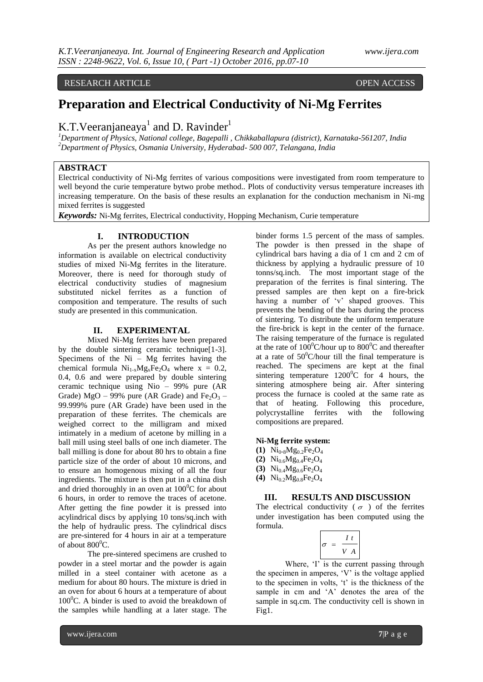## RESEARCH ARTICLE **OPEN ACCESS**

# **Preparation and Electrical Conductivity of Ni-Mg Ferrites**

## K.T. Veeranjaneaya<sup>1</sup> and D. Ravinder<sup>1</sup>

*<sup>1</sup>Department of Physics, National college, Bagepalli , Chikkaballapura (district), Karnataka-561207, India <sup>2</sup>Department of Physics, Osmania University, Hyderabad- 500 007, Telangana, India*

## **ABSTRACT**

Electrical conductivity of Ni-Mg ferrites of various compositions were investigated from room temperature to well beyond the curie temperature bytwo probe method.. Plots of conductivity versus temperature increases ith increasing temperature. On the basis of these results an explanation for the conduction mechanism in Ni-mg mixed ferrites is suggested

*Keywords:* Ni-Mg ferrites, Electrical conductivity, Hopping Mechanism, Curie temperature

### **I. INTRODUCTION**

As per the present authors knowledge no information is available on electrical conductivity studies of mixed Ni-Mg ferrites in the literature. Moreover, there is need for thorough study of electrical conductivity studies of magnesium substituted nickel ferrites as a function of composition and temperature. The results of such study are presented in this communication.

#### **II. EXPERIMENTAL**

Mixed Ni-Mg ferrites have been prepared by the double sintering ceramic technique[1-3]. Specimens of the  $Ni - Mg$  ferrites having the chemical formula  $Ni_{1-x}Mg_xFe_2O_4$  where  $x = 0.2$ , 0.4, 0.6 and were prepared by double sintering ceramic technique using Nio – 99% pure (AR Grade) MgO – 99% pure (AR Grade) and Fe<sub>2</sub>O<sub>3</sub> – 99.999% pure (AR Grade) have been used in the preparation of these ferrites. The chemicals are weighed correct to the milligram and mixed intimately in a medium of acetone by milling in a ball mill using steel balls of one inch diameter. The ball milling is done for about 80 hrs to obtain a fine particle size of the order of about 10 microns, and to ensure an homogenous mixing of all the four ingredients. The mixture is then put in a china dish and dried thoroughly in an oven at  $100^{\circ}$ C for about 6 hours, in order to remove the traces of acetone. After getting the fine powder it is pressed into acylindrical discs by applying 10 tons/sq.inch with the help of hydraulic press. The cylindrical discs are pre-sintered for 4 hours in air at a temperature of about  $800^0$ C.

The pre-sintered specimens are crushed to powder in a steel mortar and the powder is again milled in a steel container with acetone as a medium for about 80 hours. The mixture is dried in an oven for about 6 hours at a temperature of about  $100^{\circ}$ C. A binder is used to avoid the breakdown of the samples while handling at a later stage. The

binder forms 1.5 percent of the mass of samples. The powder is then pressed in the shape of cylindrical bars having a dia of 1 cm and 2 cm of thickness by applying a hydraulic pressure of 10 tonns/sq.inch. The most important stage of the preparation of the ferrites is final sintering. The pressed samples are then kept on a fire-brick having a number of 'v' shaped grooves. This prevents the bending of the bars during the process of sintering. To distribute the uniform temperature the fire-brick is kept in the center of the furnace. The raising temperature of the furnace is regulated at the rate of  $100^{\circ}$ C/hour up to  $800^{\circ}$ C and thereafter at a rate of  $50^{\circ}$ C/hour till the final temperature is reached. The specimens are kept at the final sintering temperature  $1200^{\circ}$ C for 4 hours, the sintering atmosphere being air. After sintering process the furnace is cooled at the same rate as that of heating. Following this procedure, polycrystalline ferrites with the following compositions are prepared.

## **Ni-Mg ferrite system:**

- **(1)**  $Ni_{0.8}Mg_{0.2}Fe_{2}O_{4}$
- **(2)**  $Ni_{0.6}Mg_{0.4}Fe_{2}O_{4}$
- **(3)**  $Ni_{0.4}Mg_{0.6}Fe_2O_4$
- **(4)** Ni0.2Mg0.8Fe2O<sup>4</sup>

### **III. RESULTS AND DISCUSSION**

The electrical conductivity ( $\sigma$ ) of the ferrites under investigation has been computed using the formula.

$$
\sigma = \frac{I t}{V A}
$$

Where, 'I' is the current passing through the specimen in amperes, 'V' is the voltage applied to the specimen in volts, 't' is the thickness of the sample in cm and 'A' denotes the area of the sample in sq.cm. The conductivity cell is shown in Fig1.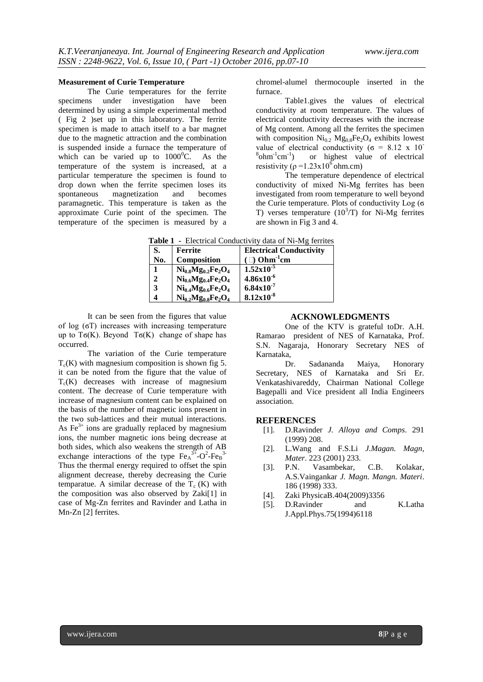#### **Measurement of Curie Temperature**

The Curie temperatures for the ferrite specimens under investigation have been determined by using a simple experimental method ( Fig 2 )set up in this laboratory. The ferrite specimen is made to attach itself to a bar magnet due to the magnetic attraction and the combination is suspended inside a furnace the temperature of which can be varied up to  $1000^{\circ}$ C. As the temperature of the system is increased, at a particular temperature the specimen is found to drop down when the ferrite specimen loses its spontaneous magnetization and becomes paramagnetic. This temperature is taken as the approximate Curie point of the specimen. The temperature of the specimen is measured by a

chromel-alumel thermocouple inserted in the furnace.

Table1.gives the values of electrical conductivity at room temperature. The values of electrical conductivity decreases with the increase of Mg content. Among all the ferrites the specimen with composition  $\text{Ni}_{0.2}$   $\text{Mg}_{0.8}$  Fe<sub>2</sub>O<sub>4</sub> exhibits lowest value of electrical conductivity ( $\sigma = 8.12 \times 10^{-7}$  $^8$ ohm $^{-1}$ cm $^{-1}$ ) or highest value of electrical resistivity ( $\rho = 1.23 \times 10^6$  ohm.cm)

The temperature dependence of electrical conductivity of mixed Ni-Mg ferrites has been investigated from room temperature to well beyond the Curie temperature. Plots of conductivity Log (σ T) verses temperature  $(10^3/T)$  for Ni-Mg ferrites are shown in Fig 3 and 4.

|--|

| S.          | <b>Ferrite</b>            | <b>Electrical Conductivity</b> |
|-------------|---------------------------|--------------------------------|
| No.         | Composition               | $\Box$ Ohm <sup>-1</sup> cm    |
|             | $Ni_{0.8}Mg_{0.2}Fe_2O_4$ | $1.52 \times 10^{-5}$          |
| $\mathbf 2$ | $Ni_{0.6}Mg_{0.4}Fe_2O_4$ | $4.86x10^{-6}$                 |
| 3           | $Ni_{0.4}Mg_{0.6}Fe_2O_4$ | $6.84x10^{-7}$                 |
|             | $Ni_{0.2}Mg_{0.8}Fe_2O_4$ | $8.12x10^{-8}$                 |

It can be seen from the figures that value of log (ϭT) increases with increasing temperature up to T $\sigma(K)$ . Beyond T $\sigma(K)$  change of shape has occurred.

The variation of the Curie temperature  $T_c(K)$  with magnesium composition is shown fig 5. it can be noted from the figure that the value of  $T_c(K)$  decreases with increase of magnesium content. The decrease of Curie temperature with increase of magnesium content can be explained on the basis of the number of magnetic ions present in the two sub-lattices and their mutual interactions. As  $\text{Fe}^{3+}$  ions are gradually replaced by magnesium ions, the number magnetic ions being decrease at both sides, which also weakens the strength of AB exchange interactions of the type  $\text{Fe}_{A}^{3+}$ -O<sup>2</sup>-Fe<sub>B</sub><sup>3-</sup> Thus the thermal energy required to offset the spin alignment decrease, thereby decreasing the Curie temparatue. A similar decrease of the  $T_c$  (K) with the composition was also observed by Zaki[1] in case of Mg-Zn ferrites and Ravinder and Latha in Mn-Zn [2] ferrites.

#### **ACKNOWLEDGMENTS**

One of the KTV is grateful toDr. A.H. Ramarao president of NES of Karnataka, Prof. S.N. Nagaraja, Honorary Secretary NES of Karnataka,

Dr. Sadananda Maiya, Honorary Secretary, NES of Karnataka and Sri Er. Venkatashivareddy, Chairman National College Bagepalli and Vice president all India Engineers association.

#### **REFERENCES**

- [1]. D.Ravinder *J. Alloya and Comps*. 291 (1999) 208.
- [2]. L.Wang and F.S.Li *J.Magan. Magn, Mater*. 223 (2001) 233.
- [3]. P.N. Vasambekar, C.B. Kolakar, A.S.Vaingankar *J. Magn. Mangn. Materi*. 186 (1998) 333.
- [4]. Zaki PhysicaB.404(2009)3356
- [5]. D.Ravinder and K.Latha J.Appl.Phys.75(1994)6118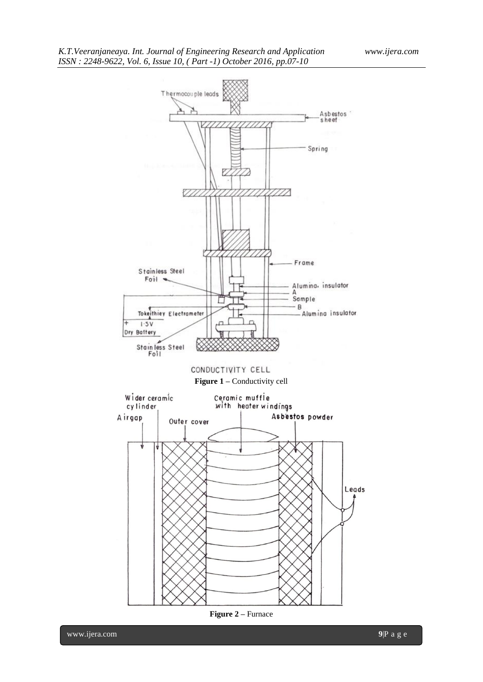

**Figure 2 –** Furnace